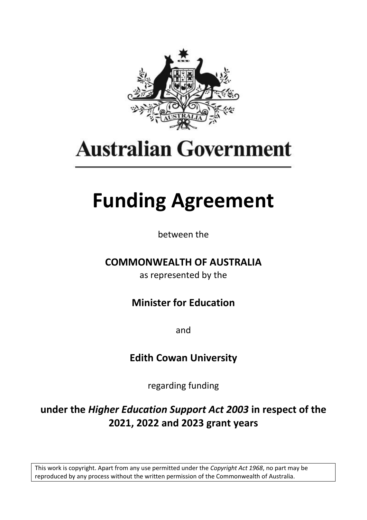

# **Australian Government**

# **Funding Agreement**

between the

## **COMMONWEALTH OF AUSTRALIA**

as represented by the

**Minister for Education** 

and

## **Edith Cowan University**

regarding funding

**under the** *Higher Education Support Act 2003* **in respect of the 2021, 2022 and 2023 grant years**

This work is copyright. Apart from any use permitted under the *Copyright Act 1968*, no part may be reproduced by any process without the written permission of the Commonwealth of Australia.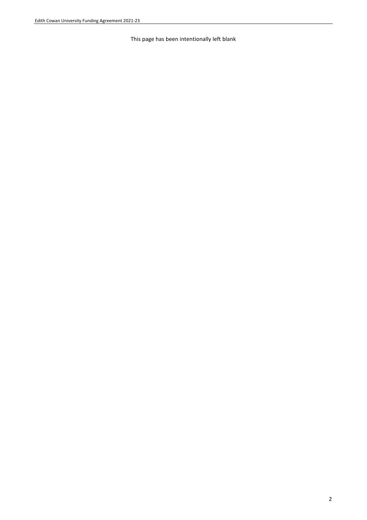This page has been intentionally left blank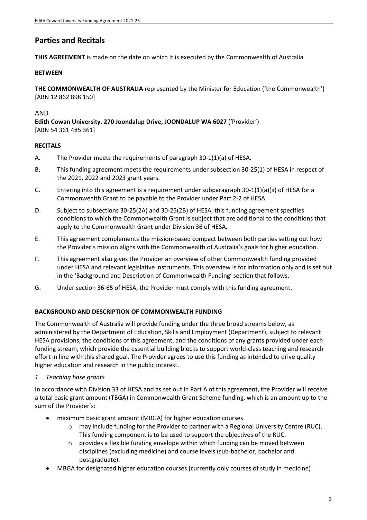### **Parties and Recitals**

**THIS AGREEMENT** is made on the date on which it is executed by the Commonwealth of Australia

#### **BETWEEN**

**THE COMMONWEALTH OF AUSTRALIA** represented by the Minister for Education ('the Commonwealth') [ABN 12 862 898 150]

#### AND

**Edith Cowan University**, **270 Joondalup Drive, JOONDALUP WA 6027** ('Provider') [ABN 54 361 485 361]

#### **RECITALS**

- A. The Provider meets the requirements of paragraph 30-1(1)(a) of HESA.
- B. This funding agreement meets the requirements under subsection 30-25(1) of HESA in respect of the 2021, 2022 and 2023 grant years.
- C. Entering into this agreement is a requirement under subparagraph 30-1(1)(a)(ii) of HESA for a Commonwealth Grant to be payable to the Provider under Part 2-2 of HESA.
- D. Subject to subsections 30-25(2A) and 30-25(2B) of HESA, this funding agreement specifies conditions to which the Commonwealth Grant is subject that are additional to the conditions that apply to the Commonwealth Grant under Division 36 of HESA.
- E. This agreement complements the mission-based compact between both parties setting out how the Provider's mission aligns with the Commonwealth of Australia's goals for higher education.
- F. This agreement also gives the Provider an overview of other Commonwealth funding provided under HESA and relevant legislative instruments. This overview is for information only and is set out in the 'Background and Description of Commonwealth Funding' section that follows.
- G. Under section 36-65 of HESA, the Provider must comply with this funding agreement.

#### **BACKGROUND AND DESCRIPTION OF COMMONWEALTH FUNDING**

The Commonwealth of Australia will provide funding under the three broad streams below, as administered by the Department of Education, Skills and Employment (Department), subject to relevant HESA provisions, the conditions of this agreement, and the conditions of any grants provided under each funding stream, which provide the essential building blocks to support world-class teaching and research effort in line with this shared goal. The Provider agrees to use this funding as intended to drive quality higher education and research in the public interest.

#### *1. Teaching base grants*

In accordance with Division 33 of HESA and as set out in Part A of this agreement, the Provider will receive a total basic grant amount (TBGA) in Commonwealth Grant Scheme funding, which is an amount up to the sum of the Provider's:

- maximum basic grant amount (MBGA) for higher education courses
	- o may include funding for the Provider to partner with a Regional University Centre (RUC). This funding component is to be used to support the objectives of the RUC.
	- $\circ$  provides a flexible funding envelope within which funding can be moved between disciplines (excluding medicine) and course levels (sub-bachelor, bachelor and postgraduate).
- MBGA for designated higher education courses (currently only courses of study in medicine)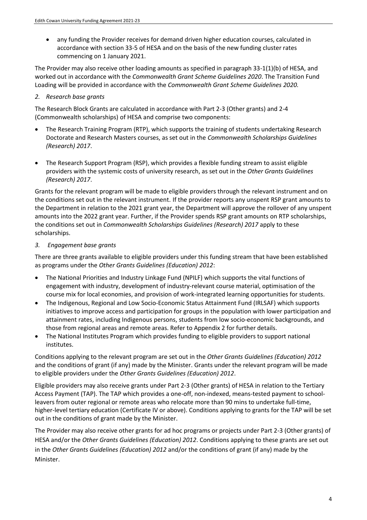• any funding the Provider receives for demand driven higher education courses, calculated in accordance with section 33-5 of HESA and on the basis of the new funding cluster rates commencing on 1 January 2021.

The Provider may also receive other loading amounts as specified in paragraph 33-1(1)(b) of HESA, and worked out in accordance with the *Commonwealth Grant Scheme Guidelines 2020*. The Transition Fund Loading will be provided in accordance with the *Commonwealth Grant Scheme Guidelines 2020.*

*2. Research base grants*

The Research Block Grants are calculated in accordance with Part 2-3 (Other grants) and 2-4 (Commonwealth scholarships) of HESA and comprise two components:

- The Research Training Program (RTP), which supports the training of students undertaking Research Doctorate and Research Masters courses, as set out in the *Commonwealth Scholarships Guidelines (Research) 2017*.
- The Research Support Program (RSP), which provides a flexible funding stream to assist eligible providers with the systemic costs of university research, as set out in the *Other Grants Guidelines (Research) 2017*.

Grants for the relevant program will be made to eligible providers through the relevant instrument and on the conditions set out in the relevant instrument. If the provider reports any unspent RSP grant amounts to the Department in relation to the 2021 grant year, the Department will approve the rollover of any unspent amounts into the 2022 grant year. Further, if the Provider spends RSP grant amounts on RTP scholarships, the conditions set out in *Commonwealth Scholarships Guidelines (Research) 2017* apply to these scholarships.

#### *3. Engagement base grants*

There are three grants available to eligible providers under this funding stream that have been established as programs under the *Other Grants Guidelines (Education) 2012*:

- The National Priorities and Industry Linkage Fund (NPILF) which supports the vital functions of engagement with industry, development of industry-relevant course material, optimisation of the course mix for local economies, and provision of work-integrated learning opportunities for students.
- The Indigenous, Regional and Low Socio-Economic Status Attainment Fund (IRLSAF) which supports initiatives to improve access and participation for groups in the population with lower participation and attainment rates, including Indigenous persons, students from low socio-economic backgrounds, and those from regional areas and remote areas. Refer to Appendix 2 for further details.
- The National Institutes Program which provides funding to eligible providers to support national institutes.

Conditions applying to the relevant program are set out in the *Other Grants Guidelines (Education) 2012* and the conditions of grant (if any) made by the Minister. Grants under the relevant program will be made to eligible providers under the *Other Grants Guidelines (Education) 2012*.

Eligible providers may also receive grants under Part 2-3 (Other grants) of HESA in relation to the Tertiary Access Payment (TAP). The TAP which provides a one-off, non-indexed, means-tested payment to schoolleavers from outer regional or remote areas who relocate more than 90 mins to undertake full-time, higher-level tertiary education (Certificate IV or above). Conditions applying to grants for the TAP will be set out in the conditions of grant made by the Minister.

The Provider may also receive other grants for ad hoc programs or projects under Part 2-3 (Other grants) of HESA and/or the *Other Grants Guidelines (Education) 2012*. Conditions applying to these grants are set out in the *Other Grants Guidelines (Education) 2012* and/or the conditions of grant (if any) made by the Minister.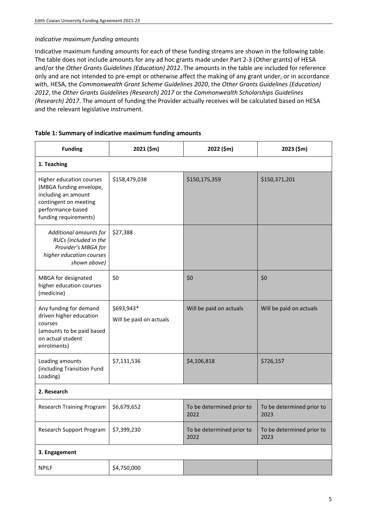#### *Indicative maximum funding amounts*

Indicative maximum funding amounts for each of these funding streams are shown in the following table. The table does not include amounts for any ad hoc grants made under Part 2-3 (Other grants) of HESA and/or the *Other Grants Guidelines (Education) 2012*. The amounts in the table are included for reference only and are not intended to pre-empt or otherwise affect the making of any grant under, or in accordance with, HESA, the *Commonwealth Grant Scheme Guidelines 2020*, the *Other Grants Guidelines (Education) 2012*, the *Other Grants Guidelines (Research) 2017* or the *Commonwealth Scholarships Guidelines (Research) 2017*. The amount of funding the Provider actually receives will be calculated based on HESA and the relevant legislative instrument.

| <b>Funding</b>                                                                                                                                    | 2021 (\$m)                            | 2022 (\$m)                        | 2023 (\$m)                        |
|---------------------------------------------------------------------------------------------------------------------------------------------------|---------------------------------------|-----------------------------------|-----------------------------------|
| 1. Teaching                                                                                                                                       |                                       |                                   |                                   |
| Higher education courses<br>(MBGA funding envelope,<br>including an amount<br>contingent on meeting<br>performance-based<br>funding requirements) | \$158,479,038                         | \$150,175,359                     | \$150,371,201                     |
| Additional amounts for<br>RUCs (included in the<br>Provider's MBGA for<br>higher education courses<br>shown above)                                | \$27,388                              |                                   |                                   |
| MBGA for designated<br>higher education courses<br>(medicine)                                                                                     | \$0                                   | \$0                               | \$0                               |
| Any funding for demand<br>driven higher education<br>courses<br>(amounts to be paid based<br>on actual student<br>enrolments)                     | \$693,943*<br>Will be paid on actuals | Will be paid on actuals           | Will be paid on actuals           |
| Loading amounts<br>(including Transition Fund<br>Loading)                                                                                         | \$7,131,536                           | \$4,106,818                       | \$726,157                         |
| 2. Research                                                                                                                                       |                                       |                                   |                                   |
| Research Training Program                                                                                                                         | \$6,679,652                           | To be determined prior to<br>2022 | To be determined prior to<br>2023 |
| Research Support Program                                                                                                                          | \$7,399,230                           | To be determined prior to<br>2022 | To be determined prior to<br>2023 |
| 3. Engagement                                                                                                                                     |                                       |                                   |                                   |
| <b>NPILF</b>                                                                                                                                      | \$4,750,000                           |                                   |                                   |

#### **Table 1: Summary of indicative maximum funding amounts**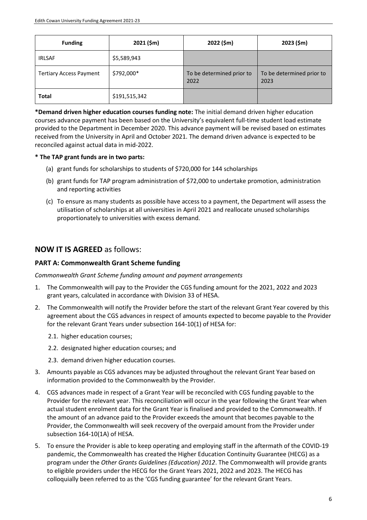| <b>Funding</b>                 | 2021 (\$m)    | 2022 (\$m)                        | 2023 (\$m)                        |
|--------------------------------|---------------|-----------------------------------|-----------------------------------|
| <b>IRLSAF</b>                  | \$5,589,943   |                                   |                                   |
| <b>Tertiary Access Payment</b> | \$792,000*    | To be determined prior to<br>2022 | To be determined prior to<br>2023 |
| <b>Total</b>                   | \$191,515,342 |                                   |                                   |

**\*Demand driven higher education courses funding note:** The initial demand driven higher education courses advance payment has been based on the University's equivalent full-time student load estimate provided to the Department in December 2020. This advance payment will be revised based on estimates received from the University in April and October 2021. The demand driven advance is expected to be reconciled against actual data in mid-2022.

#### **\* The TAP grant funds are in two parts:**

- (a) grant funds for scholarships to students of \$720,000 for 144 scholarships
- (b) grant funds for TAP program administration of \$72,000 to undertake promotion, administration and reporting activities
- (c) To ensure as many students as possible have access to a payment, the Department will assess the utilisation of scholarships at all universities in April 2021 and reallocate unused scholarships proportionately to universities with excess demand.

### **NOW IT IS AGREED** as follows:

#### **PART A: Commonwealth Grant Scheme funding**

*Commonwealth Grant Scheme funding amount and payment arrangements*

- 1. The Commonwealth will pay to the Provider the CGS funding amount for the 2021, 2022 and 2023 grant years, calculated in accordance with Division 33 of HESA.
- 2. The Commonwealth will notify the Provider before the start of the relevant Grant Year covered by this agreement about the CGS advances in respect of amounts expected to become payable to the Provider for the relevant Grant Years under subsection 164-10(1) of HESA for:
	- 2.1. higher education courses;
	- 2.2. designated higher education courses; and
	- 2.3. demand driven higher education courses.
- 3. Amounts payable as CGS advances may be adjusted throughout the relevant Grant Year based on information provided to the Commonwealth by the Provider.
- 4. CGS advances made in respect of a Grant Year will be reconciled with CGS funding payable to the Provider for the relevant year. This reconciliation will occur in the year following the Grant Year when actual student enrolment data for the Grant Year is finalised and provided to the Commonwealth. If the amount of an advance paid to the Provider exceeds the amount that becomes payable to the Provider, the Commonwealth will seek recovery of the overpaid amount from the Provider under subsection 164-10(1A) of HESA.
- 5. To ensure the Provider is able to keep operating and employing staff in the aftermath of the COVID-19 pandemic, the Commonwealth has created the Higher Education Continuity Guarantee (HECG) as a program under the *Other Grants Guidelines (Education) 2012*. The Commonwealth will provide grants to eligible providers under the HECG for the Grant Years 2021, 2022 and 2023. The HECG has colloquially been referred to as the 'CGS funding guarantee' for the relevant Grant Years.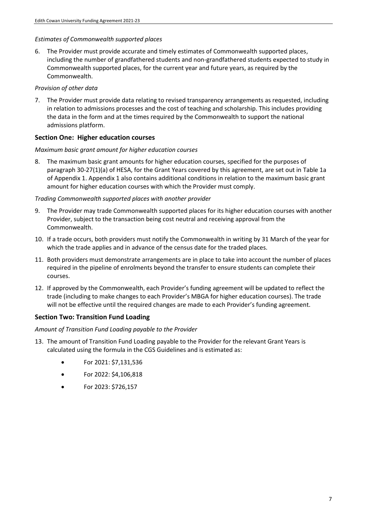#### *Estimates of Commonwealth supported places*

6. The Provider must provide accurate and timely estimates of Commonwealth supported places, including the number of grandfathered students and non-grandfathered students expected to study in Commonwealth supported places, for the current year and future years, as required by the Commonwealth.

#### *Provision of other data*

7. The Provider must provide data relating to revised transparency arrangements as requested, including in relation to admissions processes and the cost of teaching and scholarship. This includes providing the data in the form and at the times required by the Commonwealth to support the national admissions platform.

#### **Section One: Higher education courses**

#### *Maximum basic grant amount for higher education courses*

8. The maximum basic grant amounts for higher education courses, specified for the purposes of paragraph 30-27(1)(a) of HESA, for the Grant Years covered by this agreement, are set out in Table 1a of Appendix 1. Appendix 1 also contains additional conditions in relation to the maximum basic grant amount for higher education courses with which the Provider must comply.

#### *Trading Commonwealth supported places with another provider*

- 9. The Provider may trade Commonwealth supported places for its higher education courses with another Provider, subject to the transaction being cost neutral and receiving approval from the Commonwealth.
- 10. If a trade occurs, both providers must notify the Commonwealth in writing by 31 March of the year for which the trade applies and in advance of the census date for the traded places.
- 11. Both providers must demonstrate arrangements are in place to take into account the number of places required in the pipeline of enrolments beyond the transfer to ensure students can complete their courses.
- 12. If approved by the Commonwealth, each Provider's funding agreement will be updated to reflect the trade (including to make changes to each Provider's MBGA for higher education courses). The trade will not be effective until the required changes are made to each Provider's funding agreement.

#### **Section Two: Transition Fund Loading**

#### *Amount of Transition Fund Loading payable to the Provider*

- 13. The amount of Transition Fund Loading payable to the Provider for the relevant Grant Years is calculated using the formula in the CGS Guidelines and is estimated as:
	- For 2021: \$7,131,536
	- For 2022: \$4,106,818
	- For 2023: \$726,157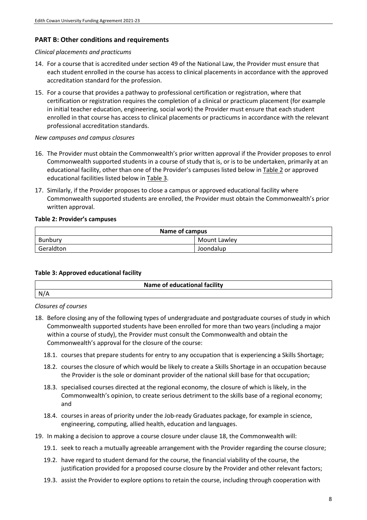#### **PART B: Other conditions and requirements**

#### *Clinical placements and practicums*

- 14. For a course that is accredited under section 49 of the National Law, the Provider must ensure that each student enrolled in the course has access to clinical placements in accordance with the approved accreditation standard for the profession.
- 15. For a course that provides a pathway to professional certification or registration, where that certification or registration requires the completion of a clinical or practicum placement (for example in initial teacher education, engineering, social work) the Provider must ensure that each student enrolled in that course has access to clinical placements or practicums in accordance with the relevant professional accreditation standards.

#### *New campuses and campus closures*

- 16. The Provider must obtain the Commonwealth's prior written approval if the Provider proposes to enrol Commonwealth supported students in a course of study that is, or is to be undertaken, primarily at an educational facility, other than one of the Provider's campuses listed below in Table 2 or approved educational facilities listed below in Table 3.
- 17. Similarly, if the Provider proposes to close a campus or approved educational facility where Commonwealth supported students are enrolled, the Provider must obtain the Commonwealth's prior written approval.

#### **Table 2: Provider's campuses**

| Name of campus |              |  |
|----------------|--------------|--|
| Bunbury        | Mount Lawley |  |
| Geraldton      | Joondalup    |  |

#### **Table 3: Approved educational facility**

| Name of educational facility |
|------------------------------|
| N/A                          |

#### *Closures of courses*

- 18. Before closing any of the following types of undergraduate and postgraduate courses of study in which Commonwealth supported students have been enrolled for more than two years (including a major within a course of study), the Provider must consult the Commonwealth and obtain the Commonwealth's approval for the closure of the course:
	- 18.1. courses that prepare students for entry to any occupation that is experiencing a Skills Shortage;
	- 18.2. courses the closure of which would be likely to create a Skills Shortage in an occupation because the Provider is the sole or dominant provider of the national skill base for that occupation;
	- 18.3. specialised courses directed at the regional economy, the closure of which is likely, in the Commonwealth's opinion, to create serious detriment to the skills base of a regional economy; and
	- 18.4. courses in areas of priority under the Job-ready Graduates package, for example in science, engineering, computing, allied health, education and languages.
- 19. In making a decision to approve a course closure under clause 18, the Commonwealth will:
	- 19.1. seek to reach a mutually agreeable arrangement with the Provider regarding the course closure;
	- 19.2. have regard to student demand for the course, the financial viability of the course, the justification provided for a proposed course closure by the Provider and other relevant factors;
	- 19.3. assist the Provider to explore options to retain the course, including through cooperation with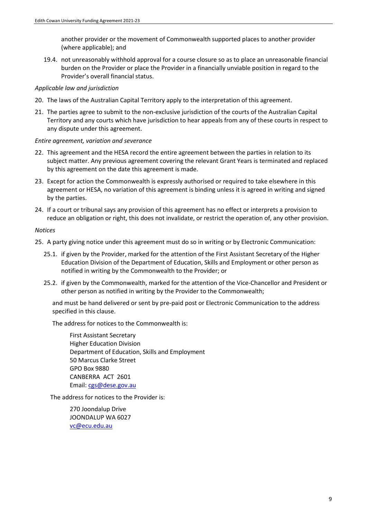another provider or the movement of Commonwealth supported places to another provider (where applicable); and

19.4. not unreasonably withhold approval for a course closure so as to place an unreasonable financial burden on the Provider or place the Provider in a financially unviable position in regard to the Provider's overall financial status.

#### *Applicable law and jurisdiction*

- 20. The laws of the Australian Capital Territory apply to the interpretation of this agreement.
- 21. The parties agree to submit to the non-exclusive jurisdiction of the courts of the Australian Capital Territory and any courts which have jurisdiction to hear appeals from any of these courts in respect to any dispute under this agreement.

#### *Entire agreement, variation and severance*

- 22. This agreement and the HESA record the entire agreement between the parties in relation to its subject matter. Any previous agreement covering the relevant Grant Years is terminated and replaced by this agreement on the date this agreement is made.
- 23. Except for action the Commonwealth is expressly authorised or required to take elsewhere in this agreement or HESA, no variation of this agreement is binding unless it is agreed in writing and signed by the parties.
- 24. If a court or tribunal says any provision of this agreement has no effect or interprets a provision to reduce an obligation or right, this does not invalidate, or restrict the operation of, any other provision.

#### *Notices*

- 25. A party giving notice under this agreement must do so in writing or by Electronic Communication:
	- 25.1. if given by the Provider, marked for the attention of the First Assistant Secretary of the Higher Education Division of the Department of Education, Skills and Employment or other person as notified in writing by the Commonwealth to the Provider; or
	- 25.2. if given by the Commonwealth, marked for the attention of the Vice-Chancellor and President or other person as notified in writing by the Provider to the Commonwealth;

and must be hand delivered or sent by pre-paid post or Electronic Communication to the address specified in this clause.

The address for notices to the Commonwealth is:

First Assistant Secretary Higher Education Division Department of Education, Skills and Employment 50 Marcus Clarke Street GPO Box 9880 CANBERRA ACT 2601 Email: [cgs@dese.gov.au](mailto:cgs@dese.gov.au)

The address for notices to the Provider is:

270 Joondalup Drive JOONDALUP WA 6027 [vc@ecu.edu.au](mailto:vc@ecu.edu.au)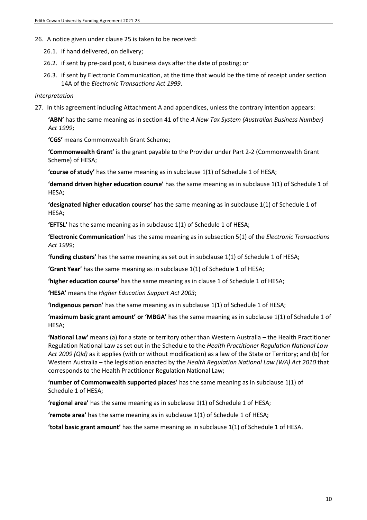- 26. A notice given under clause 25 is taken to be received:
	- 26.1. if hand delivered, on delivery;
	- 26.2. if sent by pre-paid post, 6 business days after the date of posting; or
	- 26.3. if sent by Electronic Communication, at the time that would be the time of receipt under section 14A of the *Electronic Transactions Act 1999*.

#### *Interpretation*

27. In this agreement including Attachment A and appendices, unless the contrary intention appears:

**'ABN'** has the same meaning as in section 41 of the *A New Tax System (Australian Business Number) Act 1999*;

**'CGS'** means Commonwealth Grant Scheme;

**'Commonwealth Grant'** is the grant payable to the Provider under Part 2-2 (Commonwealth Grant Scheme) of HESA;

**'course of study'** has the same meaning as in subclause 1(1) of Schedule 1 of HESA;

**'demand driven higher education course'** has the same meaning as in subclause 1(1) of Schedule 1 of HESA;

**'designated higher education course'** has the same meaning as in subclause 1(1) of Schedule 1 of HESA;

**'EFTSL'** has the same meaning as in subclause 1(1) of Schedule 1 of HESA;

**'Electronic Communication'** has the same meaning as in subsection 5(1) of the *Electronic Transactions Act 1999*;

**'funding clusters'** has the same meaning as set out in subclause 1(1) of Schedule 1 of HESA;

**'Grant Year'** has the same meaning as in subclause 1(1) of Schedule 1 of HESA;

**'higher education course'** has the same meaning as in clause 1 of Schedule 1 of HESA;

**'HESA'** means the *Higher Education Support Act 2003*;

**'Indigenous person'** has the same meaning as in subclause 1(1) of Schedule 1 of HESA;

**'maximum basic grant amount' or 'MBGA'** has the same meaning as in subclause 1(1) of Schedule 1 of HESA;

**'National Law'** means (a) for a state or territory other than Western Australia – the Health Practitioner Regulation National Law as set out in the Schedule to the *Health Practitioner Regulation National Law Act 2009 (Qld)* as it applies (with or without modification) as a law of the State or Territory; and (b) for Western Australia – the legislation enacted by the *Health Regulation National Law (WA) Act 2010* that corresponds to the Health Practitioner Regulation National Law;

**'number of Commonwealth supported places'** has the same meaning as in subclause 1(1) of Schedule 1 of HESA;

**'regional area'** has the same meaning as in subclause 1(1) of Schedule 1 of HESA;

**'remote area'** has the same meaning as in subclause 1(1) of Schedule 1 of HESA;

**'total basic grant amount'** has the same meaning as in subclause 1(1) of Schedule 1 of HESA.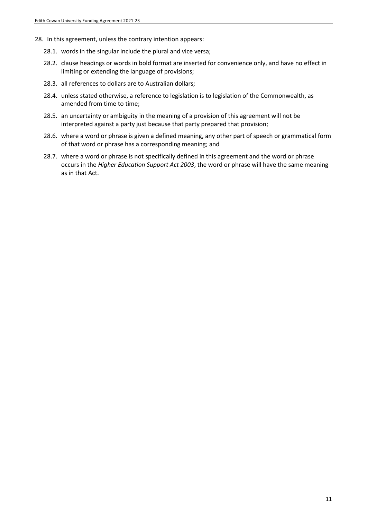- 28. In this agreement, unless the contrary intention appears:
	- 28.1. words in the singular include the plural and vice versa;
	- 28.2. clause headings or words in bold format are inserted for convenience only, and have no effect in limiting or extending the language of provisions;
	- 28.3. all references to dollars are to Australian dollars;
	- 28.4. unless stated otherwise, a reference to legislation is to legislation of the Commonwealth, as amended from time to time;
	- 28.5. an uncertainty or ambiguity in the meaning of a provision of this agreement will not be interpreted against a party just because that party prepared that provision;
	- 28.6. where a word or phrase is given a defined meaning, any other part of speech or grammatical form of that word or phrase has a corresponding meaning; and
	- 28.7. where a word or phrase is not specifically defined in this agreement and the word or phrase occurs in the *Higher Education Support Act 2003*, the word or phrase will have the same meaning as in that Act.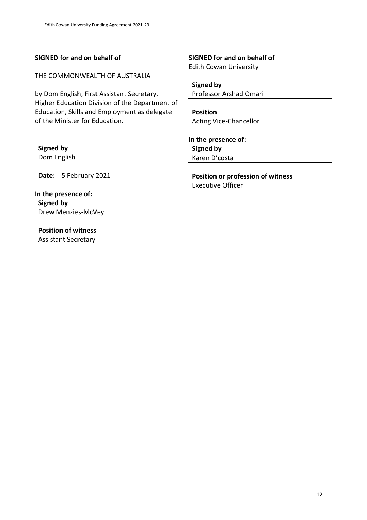**SIGNED for and on behalf of**

#### THE COMMONWEALTH OF AUSTRALIA by Dom English, First Assistant Secretary, Higher Education Division of the Department of Education, Skills and Employment as delegate of the Minister for Education. **Signed by**  Dom English **Date:** 5 February 2021 **In the presence of: Signed by**  Drew Menzies-McVey **Position of witness**  Assistant Secretary Edith Cowan University **Signed by**  Professor Arshad Omari **Position**  Acting Vice-Chancellor **In the presence of: Signed by**  Karen D'costa **Position or profession of witness**  Executive Officer

**SIGNED for and on behalf of**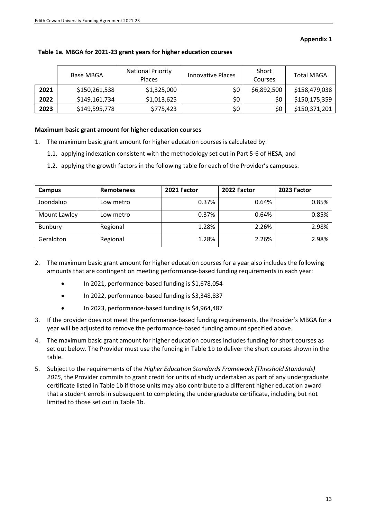|      | Base MBGA     | <b>National Priority</b><br><b>Places</b> | Innovative Places | Short<br>Courses | <b>Total MBGA</b> |
|------|---------------|-------------------------------------------|-------------------|------------------|-------------------|
| 2021 | \$150,261,538 | \$1,325,000                               | \$0               | \$6,892,500      | \$158,479,038     |
| 2022 | \$149,161,734 | \$1,013,625                               | \$0               | \$0              | \$150,175,359     |
| 2023 | \$149,595,778 | \$775,423                                 | \$0               | \$0              | \$150,371,201     |

#### **Table 1a. MBGA for 2021-23 grant years for higher education courses**

#### **Maximum basic grant amount for higher education courses**

- 1. The maximum basic grant amount for higher education courses is calculated by:
	- 1.1. applying indexation consistent with the methodology set out in Part 5-6 of HESA; and
	- 1.2. applying the growth factors in the following table for each of the Provider's campuses.

| Campus       | <b>Remoteness</b> | 2021 Factor | 2022 Factor | 2023 Factor |
|--------------|-------------------|-------------|-------------|-------------|
| Joondalup    | Low metro         | 0.37%       | 0.64%       | 0.85%       |
| Mount Lawley | Low metro         | 0.37%       | 0.64%       | 0.85%       |
| Bunbury      | Regional          | 1.28%       | 2.26%       | 2.98%       |
| Geraldton    | Regional          | 1.28%       | 2.26%       | 2.98%       |

- 2. The maximum basic grant amount for higher education courses for a year also includes the following amounts that are contingent on meeting performance-based funding requirements in each year:
	- In 2021, performance-based funding is \$1,678,054
	- In 2022, performance-based funding is \$3,348,837
	- In 2023, performance-based funding is \$4,964,487
- 3. If the provider does not meet the performance-based funding requirements, the Provider's MBGA for a year will be adjusted to remove the performance-based funding amount specified above.
- 4. The maximum basic grant amount for higher education courses includes funding for short courses as set out below. The Provider must use the funding in Table 1b to deliver the short courses shown in the table.
- 5. Subject to the requirements of the *Higher Education Standards Framework (Threshold Standards) 2015*, the Provider commits to grant credit for units of study undertaken as part of any undergraduate certificate listed in Table 1b if those units may also contribute to a different higher education award that a student enrols in subsequent to completing the undergraduate certificate, including but not limited to those set out in Table 1b.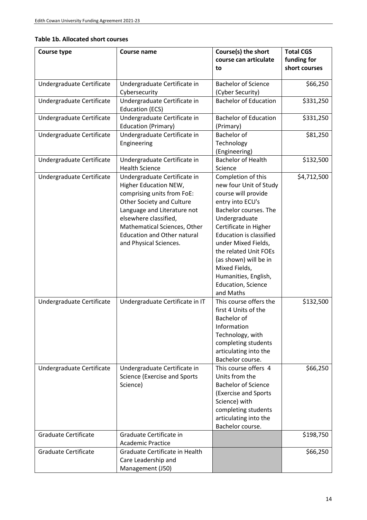| Course type                 | <b>Course name</b>                                                                                                                                                                                                                                                       | Course(s) the short<br>course can articulate<br>to                                                                                                                                                                                                                                                                                                       | <b>Total CGS</b><br>funding for<br>short courses |
|-----------------------------|--------------------------------------------------------------------------------------------------------------------------------------------------------------------------------------------------------------------------------------------------------------------------|----------------------------------------------------------------------------------------------------------------------------------------------------------------------------------------------------------------------------------------------------------------------------------------------------------------------------------------------------------|--------------------------------------------------|
|                             |                                                                                                                                                                                                                                                                          |                                                                                                                                                                                                                                                                                                                                                          |                                                  |
| Undergraduate Certificate   | Undergraduate Certificate in<br>Cybersecurity                                                                                                                                                                                                                            | <b>Bachelor of Science</b><br>(Cyber Security)                                                                                                                                                                                                                                                                                                           | \$66,250                                         |
| Undergraduate Certificate   | Undergraduate Certificate in<br><b>Education (ECS)</b>                                                                                                                                                                                                                   | <b>Bachelor of Education</b>                                                                                                                                                                                                                                                                                                                             | \$331,250                                        |
| Undergraduate Certificate   | Undergraduate Certificate in<br><b>Education (Primary)</b>                                                                                                                                                                                                               | <b>Bachelor of Education</b><br>(Primary)                                                                                                                                                                                                                                                                                                                | \$331,250                                        |
| Undergraduate Certificate   | Undergraduate Certificate in<br>Engineering                                                                                                                                                                                                                              | <b>Bachelor of</b><br>Technology<br>(Engineering)                                                                                                                                                                                                                                                                                                        | \$81,250                                         |
| Undergraduate Certificate   | Undergraduate Certificate in<br><b>Health Science</b>                                                                                                                                                                                                                    | <b>Bachelor of Health</b><br>Science                                                                                                                                                                                                                                                                                                                     | \$132,500                                        |
| Undergraduate Certificate   | Undergraduate Certificate in<br>Higher Education NEW,<br>comprising units from FoE:<br>Other Society and Culture<br>Language and Literature not<br>elsewhere classified,<br>Mathematical Sciences, Other<br><b>Education and Other natural</b><br>and Physical Sciences. | Completion of this<br>new four Unit of Study<br>course will provide<br>entry into ECU's<br>Bachelor courses. The<br>Undergraduate<br>Certificate in Higher<br><b>Education is classified</b><br>under Mixed Fields,<br>the related Unit FOEs<br>(as shown) will be in<br>Mixed Fields,<br>Humanities, English,<br><b>Education, Science</b><br>and Maths | \$4,712,500                                      |
| Undergraduate Certificate   | Undergraduate Certificate in IT                                                                                                                                                                                                                                          | This course offers the<br>first 4 Units of the<br><b>Bachelor</b> of<br>Information<br>Technology, with<br>completing students<br>articulating into the<br>Bachelor course.                                                                                                                                                                              | \$132,500                                        |
| Undergraduate Certificate   | Undergraduate Certificate in<br>Science (Exercise and Sports<br>Science)                                                                                                                                                                                                 | This course offers 4<br>Units from the<br><b>Bachelor of Science</b><br>(Exercise and Sports<br>Science) with<br>completing students<br>articulating into the<br>Bachelor course.                                                                                                                                                                        | \$66,250                                         |
| <b>Graduate Certificate</b> | Graduate Certificate in<br><b>Academic Practice</b>                                                                                                                                                                                                                      |                                                                                                                                                                                                                                                                                                                                                          | \$198,750                                        |
| <b>Graduate Certificate</b> | Graduate Certificate in Health                                                                                                                                                                                                                                           |                                                                                                                                                                                                                                                                                                                                                          | \$66,250                                         |
|                             | Care Leadership and<br>Management (J50)                                                                                                                                                                                                                                  |                                                                                                                                                                                                                                                                                                                                                          |                                                  |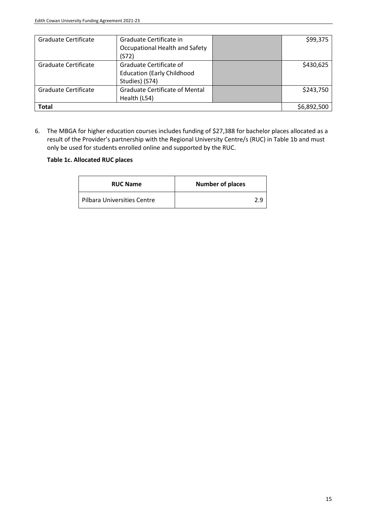| Graduate Certificate | Graduate Certificate in               | \$99,375    |
|----------------------|---------------------------------------|-------------|
|                      | Occupational Health and Safety        |             |
|                      | (S72)                                 |             |
| Graduate Certificate | Graduate Certificate of               | \$430,625   |
|                      | <b>Education (Early Childhood</b>     |             |
|                      | Studies) (S74)                        |             |
| Graduate Certificate | <b>Graduate Certificate of Mental</b> | \$243,750   |
|                      | Health (L54)                          |             |
| <b>Total</b>         |                                       | \$6,892,500 |

6. The MBGA for higher education courses includes funding of \$27,388 for bachelor places allocated as a result of the Provider's partnership with the Regional University Centre/s (RUC) in Table 1b and must only be used for students enrolled online and supported by the RUC.

#### **Table 1c. Allocated RUC places**

| <b>RUC Name</b>                    | <b>Number of places</b> |
|------------------------------------|-------------------------|
| <b>Pilbara Universities Centre</b> | າ ຊ                     |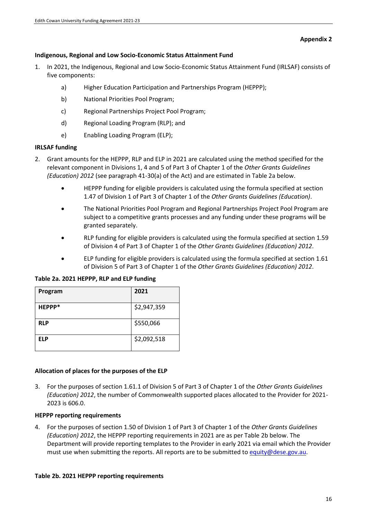#### **Indigenous, Regional and Low Socio-Economic Status Attainment Fund**

- 1. In 2021, the Indigenous, Regional and Low Socio-Economic Status Attainment Fund (IRLSAF) consists of five components:
	- a) Higher Education Participation and Partnerships Program (HEPPP);
	- b) National Priorities Pool Program;
	- c) Regional Partnerships Project Pool Program;
	- d) Regional Loading Program (RLP); and
	- e) Enabling Loading Program (ELP);

#### **IRLSAF funding**

- 2. Grant amounts for the HEPPP, RLP and ELP in 2021 are calculated using the method specified for the relevant component in Divisions 1, 4 and 5 of Part 3 of Chapter 1 of the *Other Grants Guidelines (Education) 2012* (see paragraph 41-30(a) of the Act) and are estimated in Table 2a below.
	- HEPPP funding for eligible providers is calculated using the formula specified at section 1.47 of Division 1 of Part 3 of Chapter 1 of the *Other Grants Guidelines (Education)*.
	- The National Priorities Pool Program and Regional Partnerships Project Pool Program are subject to a competitive grants processes and any funding under these programs will be granted separately.
	- RLP funding for eligible providers is calculated using the formula specified at section 1.59 of Division 4 of Part 3 of Chapter 1 of the *Other Grants Guidelines (Education) 2012*.
	- ELP funding for eligible providers is calculated using the formula specified at section 1.61 of Division 5 of Part 3 of Chapter 1 of the *Other Grants Guidelines (Education) 2012*.

**Table 2a. 2021 HEPPP, RLP and ELP funding**

| Program    | 2021        |
|------------|-------------|
| HEPPP*     | \$2,947,359 |
| <b>RLP</b> | \$550,066   |
| <b>ELP</b> | \$2,092,518 |

#### **Allocation of places for the purposes of the ELP**

3. For the purposes of section 1.61.1 of Division 5 of Part 3 of Chapter 1 of the *Other Grants Guidelines (Education) 2012*, the number of Commonwealth supported places allocated to the Provider for 2021- 2023 is 606.0.

#### **HEPPP reporting requirements**

4. For the purposes of section 1.50 of Division 1 of Part 3 of Chapter 1 of the *Other Grants Guidelines (Education) 2012*, the HEPPP reporting requirements in 2021 are as per Table 2b below. The Department will provide reporting templates to the Provider in early 2021 via email which the Provider must use when submitting the reports. All reports are to be submitted to [equity@dese.gov.au.](mailto:equity@dese.gov.au)

#### **Table 2b. 2021 HEPPP reporting requirements**